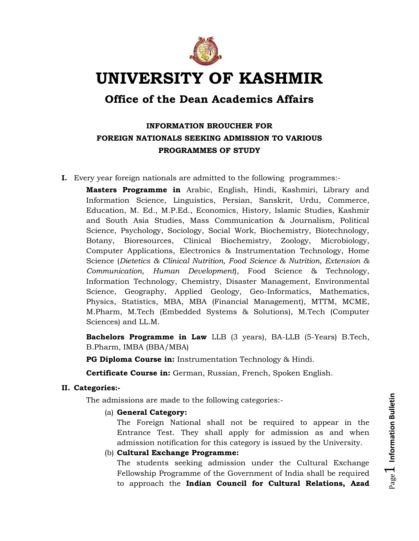

# **UNIVERSITY OF KASHMIR**

## **Office of the Dean Academics Affairs**

### **INFORMATION BROUCHER FOR FOREIGN NATIONALS SEEKING ADMISSION TO VARIOUS PROGRAMMES OF STUDY**

**I.** Every year foreign nationals are admitted to the following programmes:-

**Masters Programme in** Arabic, English, Hindi, Kashmiri, Library and Information Science, Linguistics, Persian, Sanskrit, Urdu, Commerce, Education, M. Ed., M.P.Ed., Economics, History, Islamic Studies, Kashmir and South Asia Studies, Mass Communication & Journalism, Political Science, Psychology, Sociology, Social Work, Biochemistry, Biotechnology, Botany, Bioresources, Clinical Biochemistry, Zoology, Microbiology, Computer Applications, Electronics & Instrumentation Technology, Home Science (*Dietetics & Clinical Nutrition, Food Science & Nutrition, Extension & Communication, Human Development*), Food Science & Technology, Information Technology, Chemistry, Disaster Management, Environmental Science, Geography, Applied Geology, Geo-Informatics, Mathematics, Physics, Statistics, MBA, MBA (Financial Management), MTTM, MCME, M.Pharm, M.Tech (Embedded Systems & Solutions), M.Tech (Computer Sciences) and LL.M.

**Bachelors Programme in Law** LLB (3 years), BA-LLB (5-Years) B.Tech, B.Pharm, IMBA (BBA/MBA)

**PG Diploma Course in:** Instrumentation Technology & Hindi.

**Certificate Course in:** German, Russian, French, Spoken English.

#### **II. Categories:-**

The admissions are made to the following categories:-

(a) **General Category:** 

The Foreign National shall not be required to appear in the Entrance Test. They shall apply for admission as and when admission notification for this category is issued by the University.

(b) **Cultural Exchange Programme:** 

The students seeking admission under the Cultural Exchange Fellowship Programme of the Government of India shall be required to approach the **Indian Council for Cultural Relations, Azad**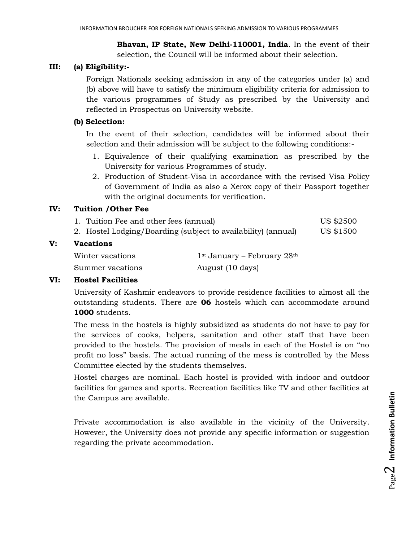**Bhavan, IP State, New Delhi-110001, India**. In the event of their selection, the Council will be informed about their selection.

#### **III: (a) Eligibility:-**

Foreign Nationals seeking admission in any of the categories under (a) and (b) above will have to satisfy the minimum eligibility criteria for admission to the various programmes of Study as prescribed by the University and reflected in Prospectus on University website.

#### **(b) Selection:**

In the event of their selection, candidates will be informed about their selection and their admission will be subject to the following conditions:-

- 1. Equivalence of their qualifying examination as prescribed by the University for various Programmes of study.
- 2. Production of Student-Visa in accordance with the revised Visa Policy of Government of India as also a Xerox copy of their Passport together with the original documents for verification.

#### **IV: Tuition /Other Fee**

| 1. Tuition Fee and other fees (annual)                        | US \$2500 |
|---------------------------------------------------------------|-----------|
| 2. Hostel Lodging/Boarding (subject to availability) (annual) | US \$1500 |

#### **V: Vacations**

| Winter vacations | $1st$ January – February 28 <sup>th</sup> |
|------------------|-------------------------------------------|
| Summer vacations | August (10 days)                          |

#### **VI: Hostel Facilities**

University of Kashmir endeavors to provide residence facilities to almost all the outstanding students. There are **06** hostels which can accommodate around **1000** students.

The mess in the hostels is highly subsidized as students do not have to pay for the services of cooks, helpers, sanitation and other staff that have been provided to the hostels. The provision of meals in each of the Hostel is on "no profit no loss" basis. The actual running of the mess is controlled by the Mess Committee elected by the students themselves.

Hostel charges are nominal. Each hostel is provided with indoor and outdoor facilities for games and sports. Recreation facilities like TV and other facilities at the Campus are available.

Private accommodation is also available in the vicinity of the University. However, the University does not provide any specific information or suggestion regarding the private accommodation.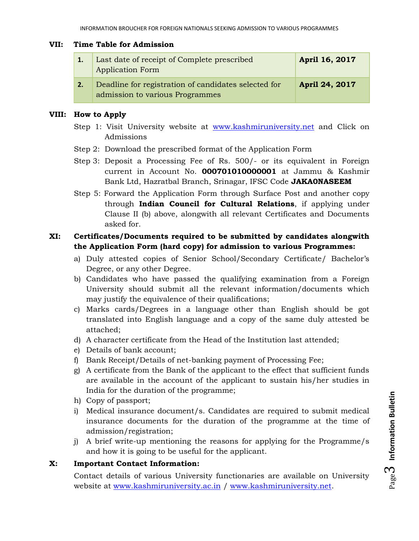#### **VII: Time Table for Admission**

| Last date of receipt of Complete prescribed<br><b>Application Form</b>                  | April 16, 2017 |
|-----------------------------------------------------------------------------------------|----------------|
| Deadline for registration of candidates selected for<br>admission to various Programmes | April 24, 2017 |

#### **VIII: How to Apply**

- Step 1: Visit University website at [www.kashmiruniversity.net](http://www.kashmiruniversity.net/) and Click on Admissions
- Step 2: Download the prescribed format of the Application Form
- Step 3: Deposit a Processing Fee of Rs. 500/- or its equivalent in Foreign current in Account No. **000701010000001** at Jammu & Kashmir Bank Ltd, Hazratbal Branch, Srinagar, IFSC Code **JAKA0NASEEM**
- Step 5: Forward the Application Form through Surface Post and another copy through **Indian Council for Cultural Relations**, if applying under Clause II (b) above, alongwith all relevant Certificates and Documents asked for.

#### **XI: Certificates/Documents required to be submitted by candidates alongwith the Application Form (hard copy) for admission to various Programmes:**

- a) Duly attested copies of Senior School/Secondary Certificate/ Bachelor's Degree, or any other Degree.
- b) Candidates who have passed the qualifying examination from a Foreign University should submit all the relevant information/documents which may justify the equivalence of their qualifications;
- c) Marks cards/Degrees in a language other than English should be got translated into English language and a copy of the same duly attested be attached;
- d) A character certificate from the Head of the Institution last attended;
- e) Details of bank account;
- f) Bank Receipt/Details of net-banking payment of Processing Fee;
- g) A certificate from the Bank of the applicant to the effect that sufficient funds are available in the account of the applicant to sustain his/her studies in India for the duration of the programme;
- h) Copy of passport;
- i) Medical insurance document/s. Candidates are required to submit medical insurance documents for the duration of the programme at the time of admission/registration;
- j) A brief write-up mentioning the reasons for applying for the Programme/s and how it is going to be useful for the applicant.

#### **X: Important Contact Information:**

Contact details of various University functionaries are available on University website at [www.kashmiruniversity.ac.in](http://www.kashmiruniversity.ac.in/) / [www.kashmiruniversity.net.](http://www.kashmiruniversity.net/)